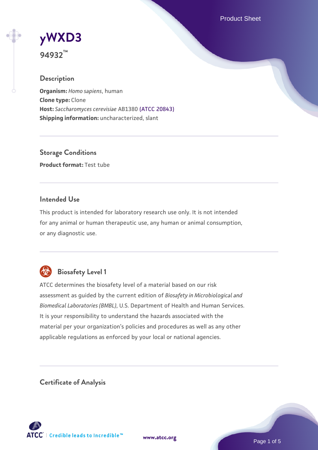Product Sheet

# **[yWXD3](https://www.atcc.org/products/94932)**

**94932™**

# **Description**

**Organism:** *Homo sapiens*, human **Clone type:** Clone **Host:** *Saccharomyces cerevisiae* AB1380 [\(ATCC 20843\)](https://www.atcc.org/products/20843) **Shipping information:** uncharacterized, slant

**Storage Conditions Product format:** Test tube

# **Intended Use**

This product is intended for laboratory research use only. It is not intended for any animal or human therapeutic use, any human or animal consumption, or any diagnostic use.



# **Biosafety Level 1**

ATCC determines the biosafety level of a material based on our risk assessment as guided by the current edition of *Biosafety in Microbiological and Biomedical Laboratories (BMBL)*, U.S. Department of Health and Human Services. It is your responsibility to understand the hazards associated with the material per your organization's policies and procedures as well as any other applicable regulations as enforced by your local or national agencies.

**Certificate of Analysis**

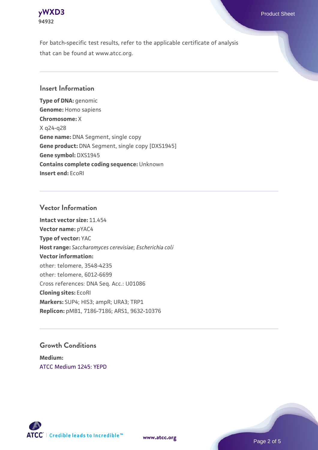

For batch-specific test results, refer to the applicable certificate of analysis that can be found at www.atcc.org.

# **Insert Information**

**Type of DNA:** genomic **Genome:** Homo sapiens **Chromosome:** X X q24-q28 **Gene name:** DNA Segment, single copy **Gene product:** DNA Segment, single copy [DXS1945] **Gene symbol:** DXS1945 **Contains complete coding sequence:** Unknown **Insert end:** EcoRI

### **Vector Information**

**Intact vector size:** 11.454 **Vector name:** pYAC4 **Type of vector:** YAC **Host range:** *Saccharomyces cerevisiae*; *Escherichia coli* **Vector information:** other: telomere, 3548-4235 other: telomere, 6012-6699 Cross references: DNA Seq. Acc.: U01086 **Cloning sites:** EcoRI **Markers:** SUP4; HIS3; ampR; URA3; TRP1 **Replicon:** pMB1, 7186-7186; ARS1, 9632-10376

# **Growth Conditions**

**Medium:**  [ATCC Medium 1245: YEPD](https://www.atcc.org/-/media/product-assets/documents/microbial-media-formulations/1/2/4/5/atcc-medium-1245.pdf?rev=705ca55d1b6f490a808a965d5c072196)



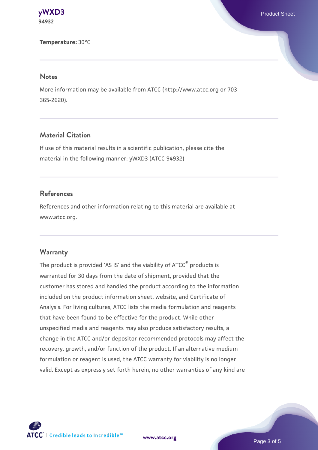

#### **Temperature:** 30°C

#### **Notes**

More information may be available from ATCC (http://www.atcc.org or 703- 365-2620).

# **Material Citation**

If use of this material results in a scientific publication, please cite the material in the following manner: yWXD3 (ATCC 94932)

# **References**

References and other information relating to this material are available at www.atcc.org.

#### **Warranty**

The product is provided 'AS IS' and the viability of ATCC® products is warranted for 30 days from the date of shipment, provided that the customer has stored and handled the product according to the information included on the product information sheet, website, and Certificate of Analysis. For living cultures, ATCC lists the media formulation and reagents that have been found to be effective for the product. While other unspecified media and reagents may also produce satisfactory results, a change in the ATCC and/or depositor-recommended protocols may affect the recovery, growth, and/or function of the product. If an alternative medium formulation or reagent is used, the ATCC warranty for viability is no longer valid. Except as expressly set forth herein, no other warranties of any kind are



**[www.atcc.org](http://www.atcc.org)**

Page 3 of 5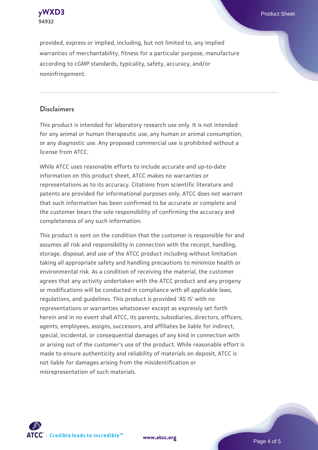



provided, express or implied, including, but not limited to, any implied warranties of merchantability, fitness for a particular purpose, manufacture according to cGMP standards, typicality, safety, accuracy, and/or noninfringement.

# **Disclaimers**

This product is intended for laboratory research use only. It is not intended for any animal or human therapeutic use, any human or animal consumption, or any diagnostic use. Any proposed commercial use is prohibited without a license from ATCC.

While ATCC uses reasonable efforts to include accurate and up-to-date information on this product sheet, ATCC makes no warranties or representations as to its accuracy. Citations from scientific literature and patents are provided for informational purposes only. ATCC does not warrant that such information has been confirmed to be accurate or complete and the customer bears the sole responsibility of confirming the accuracy and completeness of any such information.

This product is sent on the condition that the customer is responsible for and assumes all risk and responsibility in connection with the receipt, handling, storage, disposal, and use of the ATCC product including without limitation taking all appropriate safety and handling precautions to minimize health or environmental risk. As a condition of receiving the material, the customer agrees that any activity undertaken with the ATCC product and any progeny or modifications will be conducted in compliance with all applicable laws, regulations, and guidelines. This product is provided 'AS IS' with no representations or warranties whatsoever except as expressly set forth herein and in no event shall ATCC, its parents, subsidiaries, directors, officers, agents, employees, assigns, successors, and affiliates be liable for indirect, special, incidental, or consequential damages of any kind in connection with or arising out of the customer's use of the product. While reasonable effort is made to ensure authenticity and reliability of materials on deposit, ATCC is not liable for damages arising from the misidentification or misrepresentation of such materials.



**[www.atcc.org](http://www.atcc.org)**

Page 4 of 5